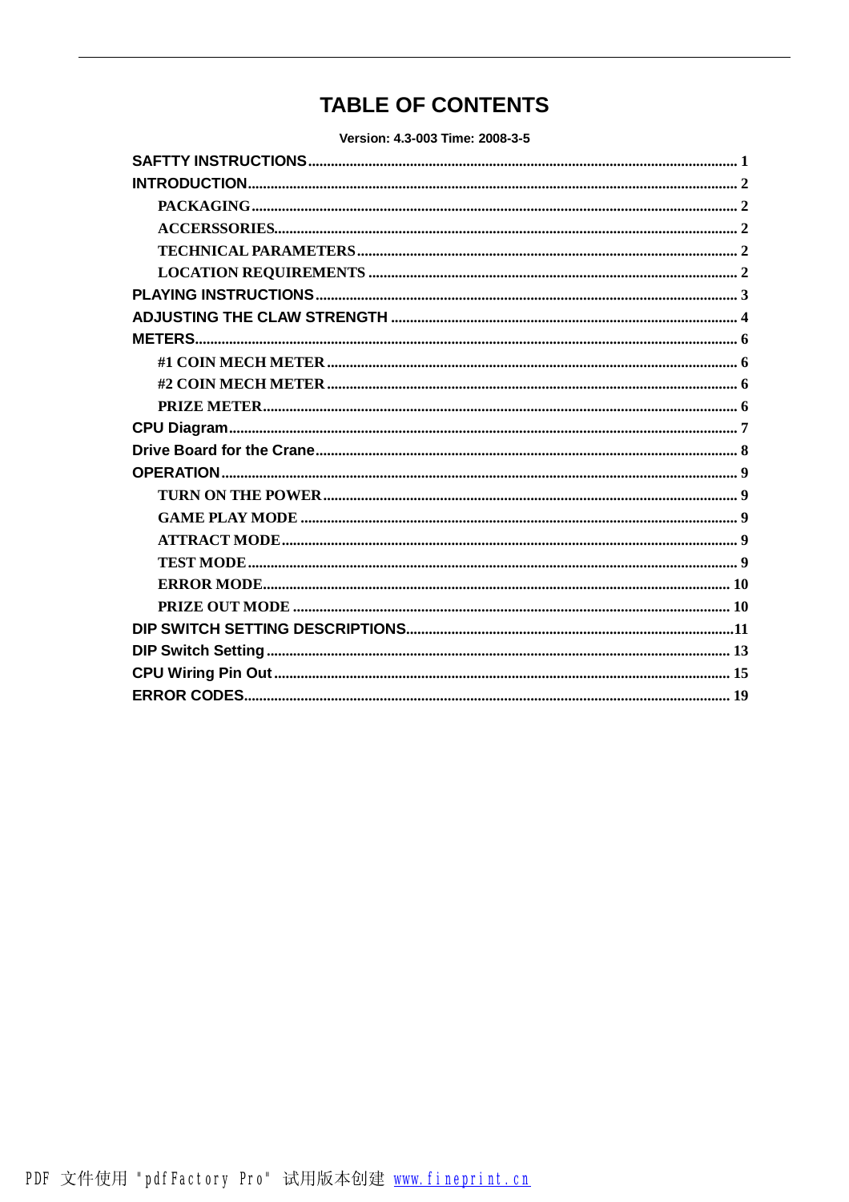# **TABLE OF CONTENTS**

Version: 4.3-003 Time: 2008-3-5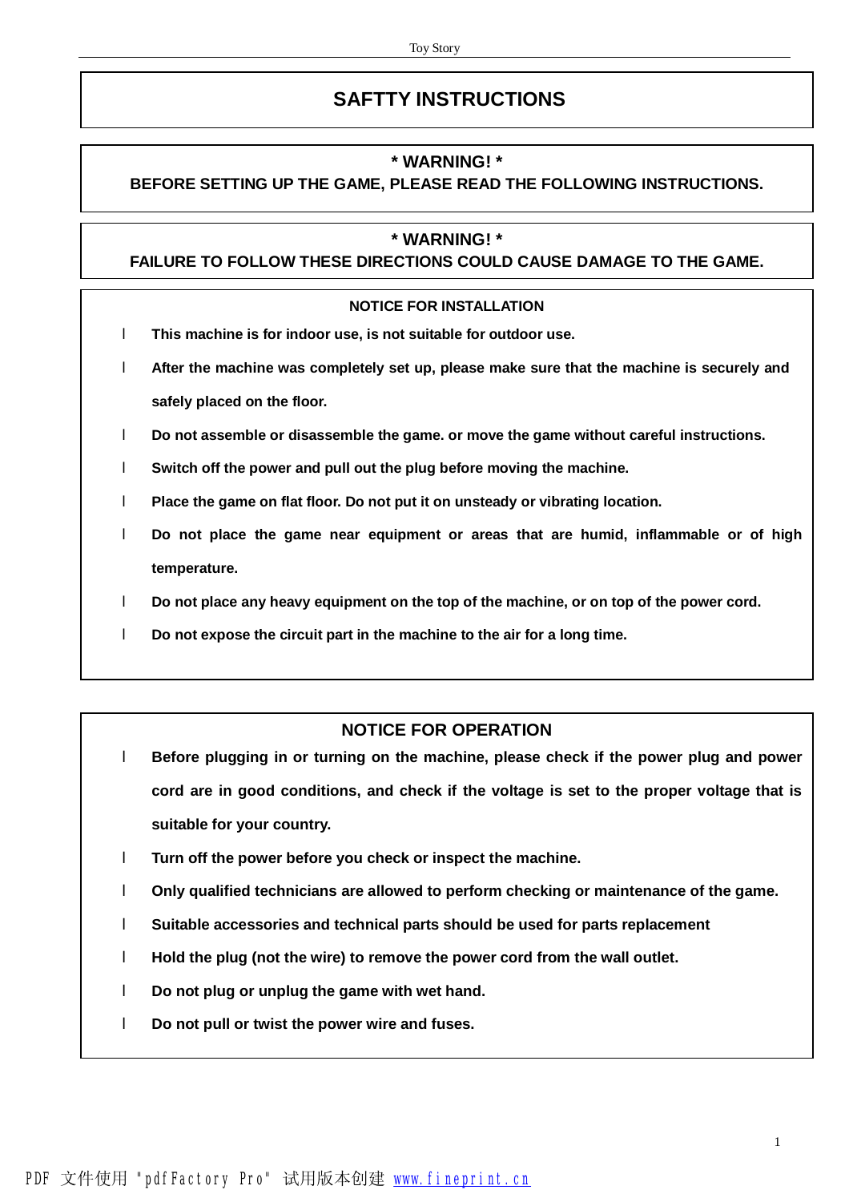# **SAFTTY INSTRUCTIONS**

### **\* WARNING! \***

## **BEFORE SETTING UP THE GAME, PLEASE READ THE FOLLOWING INSTRUCTIONS.**

#### **\* WARNING! \***

#### **FAILURE TO FOLLOW THESE DIRECTIONS COULD CAUSE DAMAGE TO THE GAME.**

#### **NOTICE FOR INSTALLATION**

- l **This machine is for indoor use, is not suitable for outdoor use.**
- l **After the machine was completely set up, please make sure that the machine is securely and safely placed on the floor.**
- l **Do not assemble or disassemble the game. or move the game without careful instructions.**
- l **Switch off the power and pull out the plug before moving the machine.**
- l **Place the game on flat floor. Do not put it on unsteady or vibrating location.**
- l **Do not place the game near equipment or areas that are humid, inflammable or of high temperature.**
- l **Do not place any heavy equipment on the top of the machine, or on top of the power cord.**
- l **Do not expose the circuit part in the machine to the air for a long time.**

## **NOTICE FOR OPERATION**

- l **Before plugging in or turning on the machine, please check if the power plug and power cord are in good conditions, and check if the voltage is set to the proper voltage that is suitable for your country.**
- l **Turn off the power before you check or inspect the machine.**
- l **Only qualified technicians are allowed to perform checking or maintenance of the game.**
- l **Suitable accessories and technical parts should be used for parts replacement**
- l **Hold the plug (not the wire) to remove the power cord from the wall outlet.**
- l **Do not plug or unplug the game with wet hand.**
- l **Do not pull or twist the power wire and fuses.**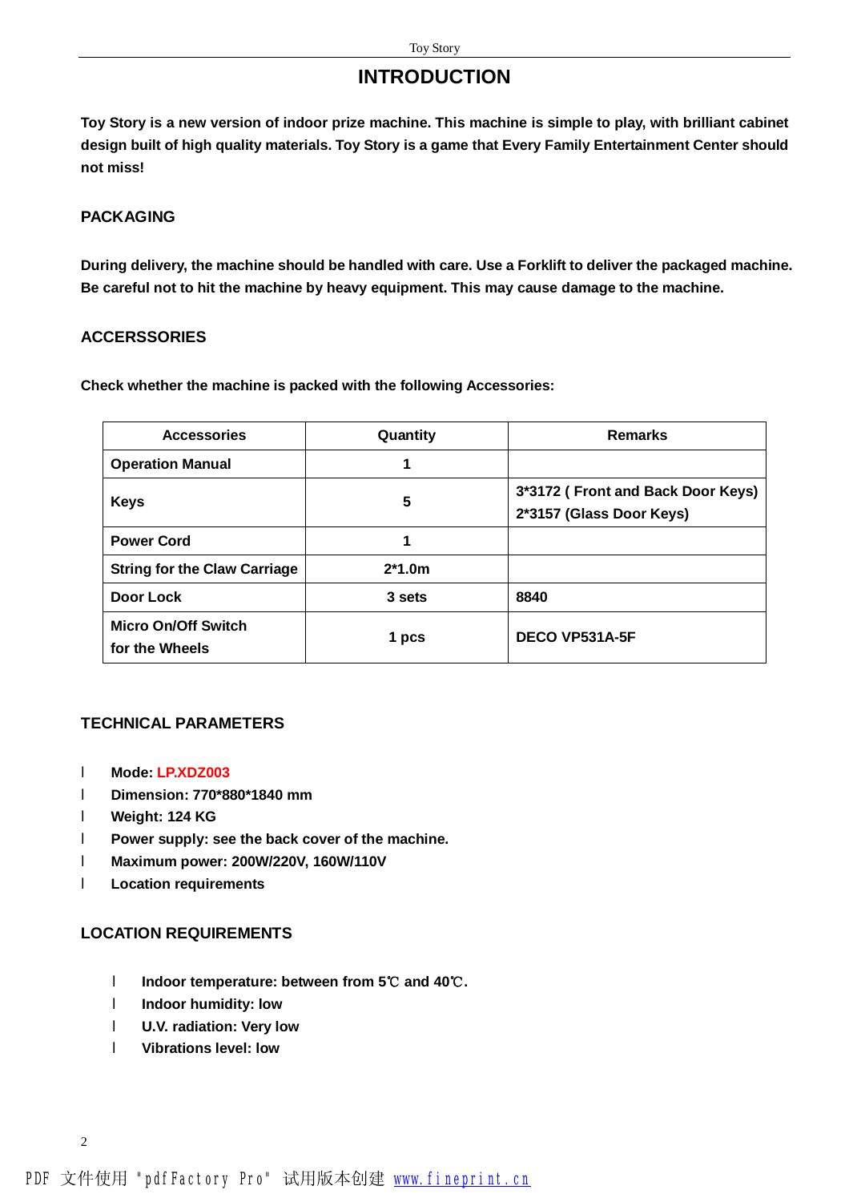# **INTRODUCTION**

**Toy Story is a new version of indoor prize machine. This machine is simple to play, with brilliant cabinet design built of high quality materials. Toy Story is a game that Every Family Entertainment Center should not miss!** 

### **PACKAGING**

**During delivery, the machine should be handled with care. Use a Forklift to deliver the packaged machine. Be careful not to hit the machine by heavy equipment. This may cause damage to the machine.** 

#### **ACCERSSORIES**

**Check whether the machine is packed with the following Accessories:** 

| <b>Accessories</b>                           | Quantity | <b>Remarks</b>                                                |
|----------------------------------------------|----------|---------------------------------------------------------------|
| <b>Operation Manual</b>                      |          |                                                               |
| <b>Keys</b>                                  | 5        | 3*3172 (Front and Back Door Keys)<br>2*3157 (Glass Door Keys) |
| <b>Power Cord</b>                            |          |                                                               |
| <b>String for the Claw Carriage</b>          | $2*1.0m$ |                                                               |
| Door Lock                                    | 3 sets   | 8840                                                          |
| <b>Micro On/Off Switch</b><br>for the Wheels | 1 pcs    | DECO VP531A-5F                                                |

### **TECHNICAL PARAMETERS**

- l **Mode: LP.XDZ003**
- l **Dimension: 770\*880\*1840 mm**
- l **Weight: 124 KG**
- l **Power supply: see the back cover of the machine.**
- l **Maximum power: 200W/220V, 160W/110V**
- l **Location requirements**

### **LOCATION REQUIREMENTS**

- l **Indoor temperature: between from 5℃ and 40℃.**
- l **Indoor humidity: low**
- l **U.V. radiation: Very low**
- l **Vibrations level: low**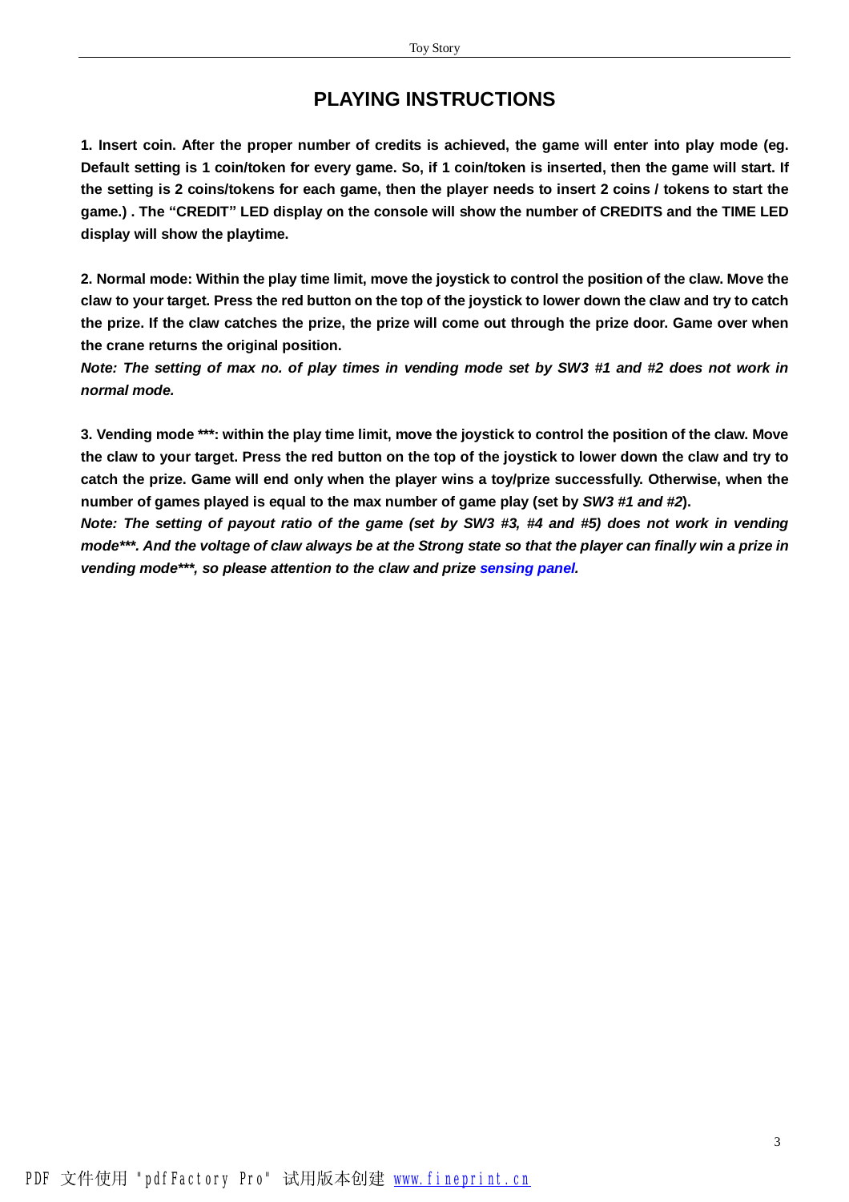# **PLAYING INSTRUCTIONS**

1. Insert coin. After the proper number of credits is achieved, the game will enter into play mode (eg. Default setting is 1 coin/token for every game. So, if 1 coin/token is inserted, then the game will start. If the setting is 2 coins/tokens for each game, then the player needs to insert 2 coins / tokens to start the **game.) . The "CREDIT" LED display on the console will show the number of CREDITS and the TIME LED display will show the playtime.** 

2. Normal mode: Within the play time limit, move the joystick to control the position of the claw. Move the claw to your target. Press the red button on the top of the joystick to lower down the claw and try to catch the prize. If the claw catches the prize, the prize will come out through the prize door. Game over when **the crane returns the original position.** 

Note: The setting of max no. of play times in vending mode set by SW3 #1 and #2 does not work in *normal mode.* 

3. Vending mode \*\*\*: within the play time limit, move the joystick to control the position of the claw. Move the claw to your target. Press the red button on the top of the joystick to lower down the claw and try to **catch the prize. Game will end only when the player wins a toy/prize successfully. Otherwise, when the number of games played is equal to the max number of game play (set by** *SW3 #1 and #2***).** 

Note: The setting of payout ratio of the game (set by SW3 #3, #4 and #5) does not work in vending mode\*\*\*. And the voltage of claw always be at the Strong state so that the player can finally win a prize in *vending mode\*\*\*, so please attention to the claw and prize sensing panel.*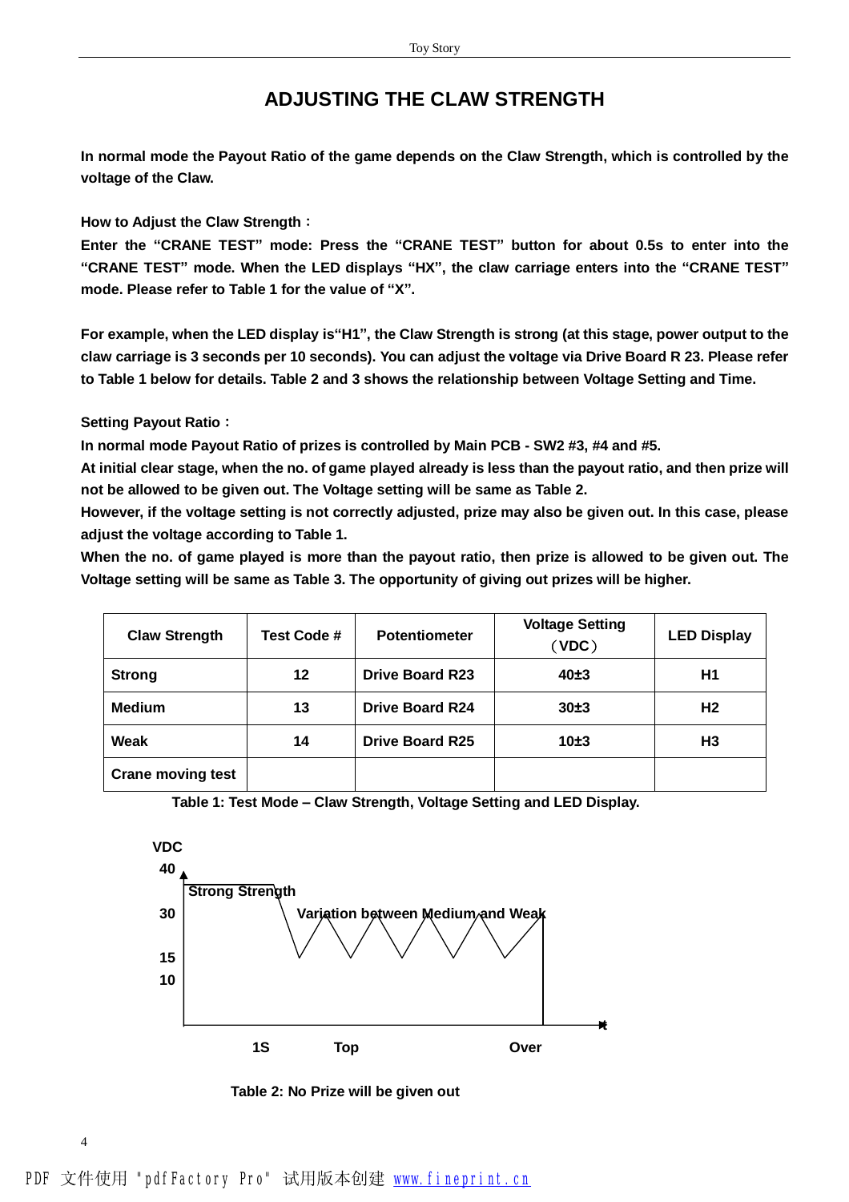## **ADJUSTING THE CLAW STRENGTH**

**In normal mode the Payout Ratio of the game depends on the Claw Strength, which is controlled by the voltage of the Claw.** 

**How to Adjust the Claw Strength:**

Enter the "CRANE TEST" mode: Press the "CRANE TEST" button for about 0.5s to enter into the "CRANE TEST" mode. When the LED displays "HX", the claw carriage enters into the "CRANE TEST" **mode. Please refer to Table 1 for the value of "X".** 

For example, when the LED display is "H1", the Claw Strength is strong (at this stage, power output to the claw carriage is 3 seconds per 10 seconds). You can adjust the voltage via Drive Board R 23. Please refer **to Table 1 below for details. Table 2 and 3 shows the relationship between Voltage Setting and Time.** 

**Setting Payout Ratio:** 

**In normal mode Payout Ratio of prizes is controlled by Main PCB - SW2 #3, #4 and #5.** 

**At initial clear stage, when the no. of game played already is less than the payout ratio, and then prize will not be allowed to be given out. The Voltage setting will be same as Table 2.** 

**However, if the voltage setting is not correctly adjusted, prize may also be given out. In this case, please adjust the voltage according to Table 1.** 

When the no. of game played is more than the payout ratio, then prize is allowed to be given out. The **Voltage setting will be same as Table 3. The opportunity of giving out prizes will be higher.** 

| <b>Claw Strength</b>     | Test Code # | <b>Potentiometer</b>   | <b>Voltage Setting</b><br>(VDC) | <b>LED Display</b> |
|--------------------------|-------------|------------------------|---------------------------------|--------------------|
| <b>Strong</b>            | 12          | <b>Drive Board R23</b> | 40±3                            | H1                 |
| <b>Medium</b>            | 13          | <b>Drive Board R24</b> | 30±3                            | H <sub>2</sub>     |
| Weak                     | 14          | <b>Drive Board R25</b> | 10±3                            | H <sub>3</sub>     |
| <b>Crane moving test</b> |             |                        |                                 |                    |





 **Table 2: No Prize will be given out**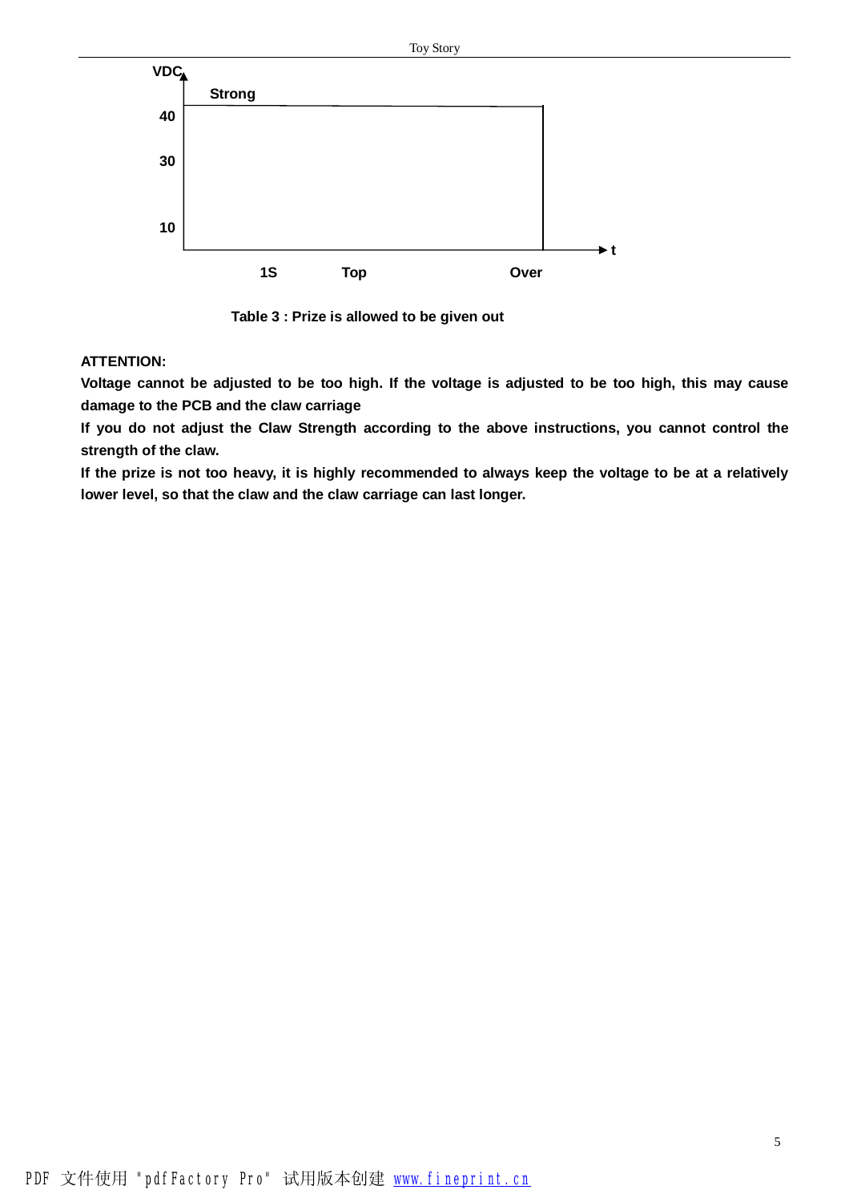

 **Table 3 : Prize is allowed to be given out** 

#### **ATTENTION:**

Voltage cannot be adjusted to be too high. If the voltage is adjusted to be too high, this may cause **damage to the PCB and the claw carriage** 

**If you do not adjust the Claw Strength according to the above instructions, you cannot control the strength of the claw.** 

If the prize is not too heavy, it is highly recommended to always keep the voltage to be at a relatively **lower level, so that the claw and the claw carriage can last longer.**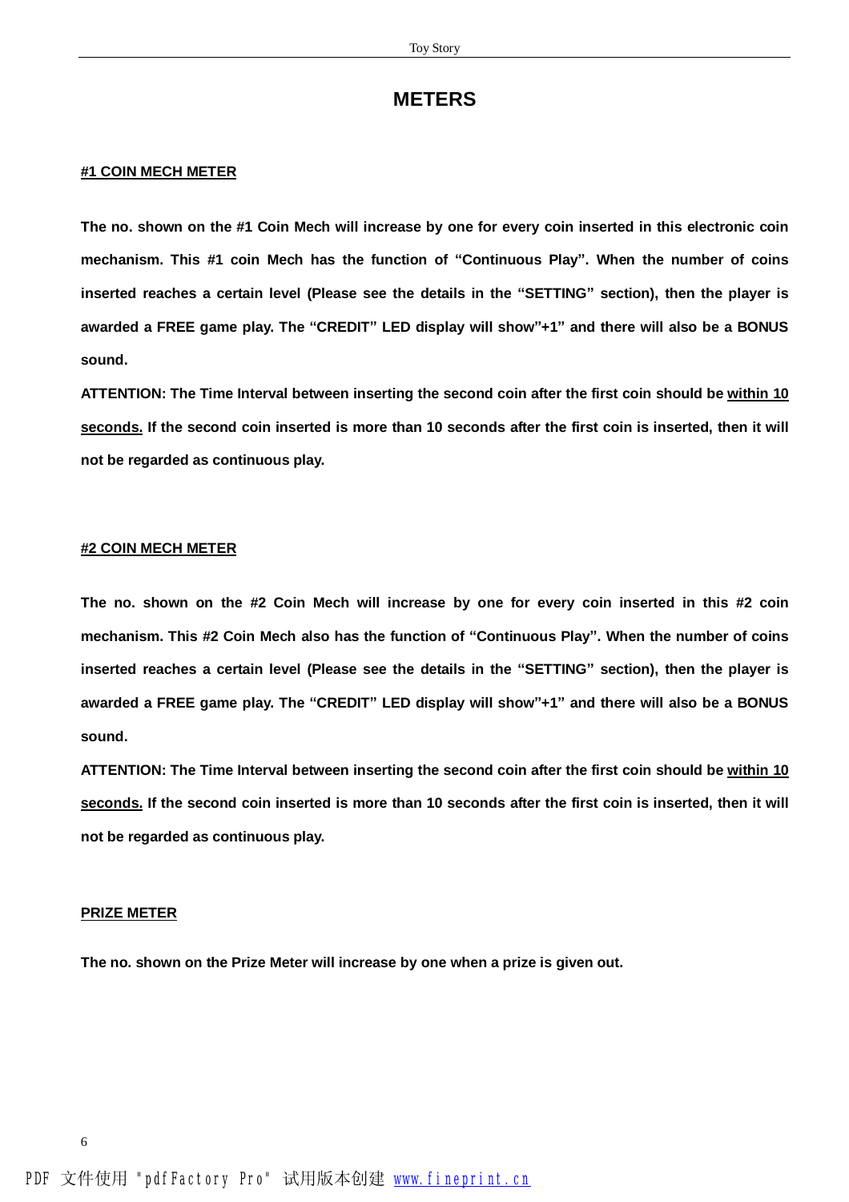### **METERS**

#### **#1 COIN MECH METER**

The no. shown on the #1 Coin Mech will increase by one for every coin inserted in this electronic coin mechanism. This #1 coin Mech has the function of "Continuous Play". When the number of coins inserted reaches a certain level (Please see the details in the "SETTING" section), then the player is awarded a FREE game play. The "CREDIT" LED display will show"+1" and there will also be a BONUS **sound.** 

**ATTENTION: The Time Interval between inserting the second coin after the first coin should be within 10**  seconds. If the second coin inserted is more than 10 seconds after the first coin is inserted, then it will **not be regarded as continuous play.** 

#### **#2 COIN MECH METER**

The no. shown on the #2 Coin Mech will increase by one for every coin inserted in this #2 coin mechanism. This #2 Coin Mech also has the function of "Continuous Play". When the number of coins inserted reaches a certain level (Please see the details in the "SETTING" section), then the player is awarded a FREE game play. The "CREDIT" LED display will show"+1" and there will also be a BONUS **sound.** 

**ATTENTION: The Time Interval between inserting the second coin after the first coin should be within 10**  seconds. If the second coin inserted is more than 10 seconds after the first coin is inserted, then it will **not be regarded as continuous play.** 

#### **PRIZE METER**

**The no. shown on the Prize Meter will increase by one when a prize is given out.**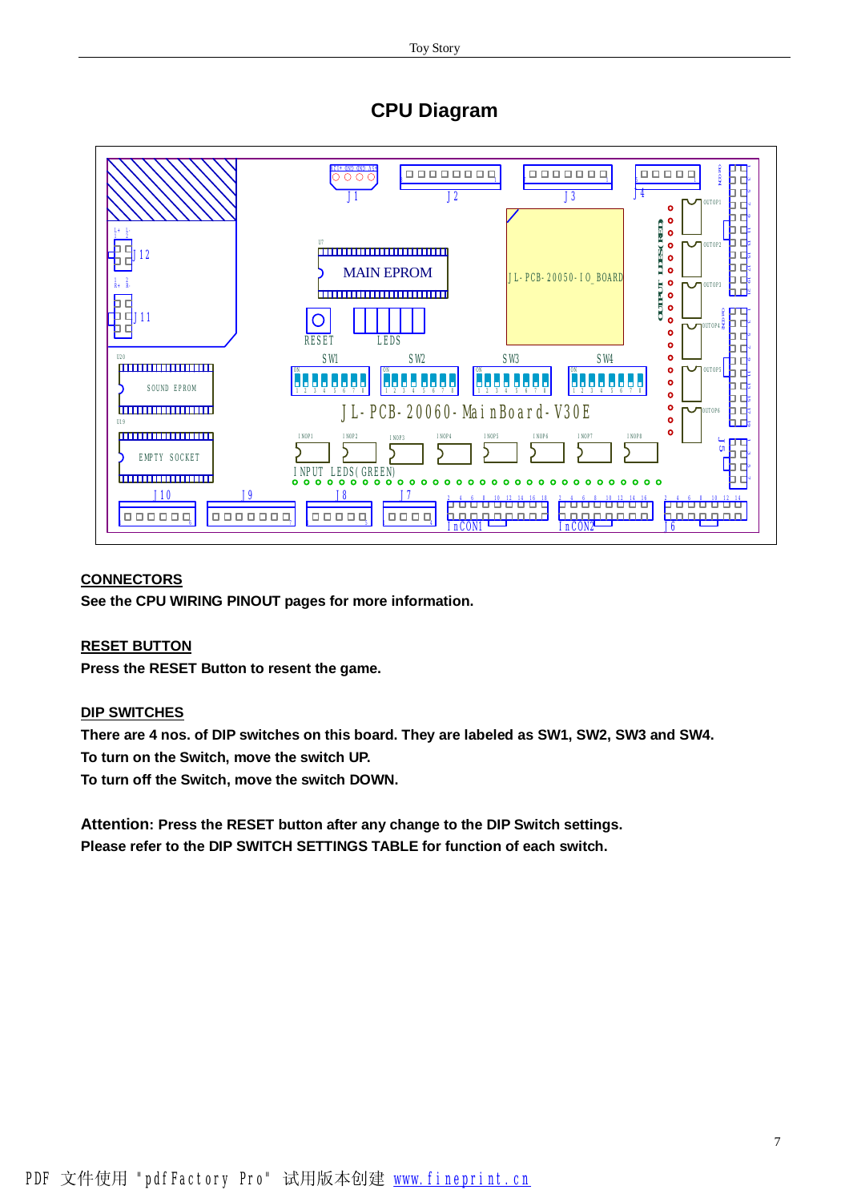# **CPU Diagram**



#### **CONNECTORS**

**See the CPU WIRING PINOUT pages for more information.** 

#### **RESET BUTTON**

**Press the RESET Button to resent the game.** 

#### **DIP SWITCHES**

**There are 4 nos. of DIP switches on this board. They are labeled as SW1, SW2, SW3 and SW4. To turn on the Switch, move the switch UP. To turn off the Switch, move the switch DOWN.** 

**Attention: Press the RESET button after any change to the DIP Switch settings. Please refer to the DIP SWITCH SETTINGS TABLE for function of each switch.**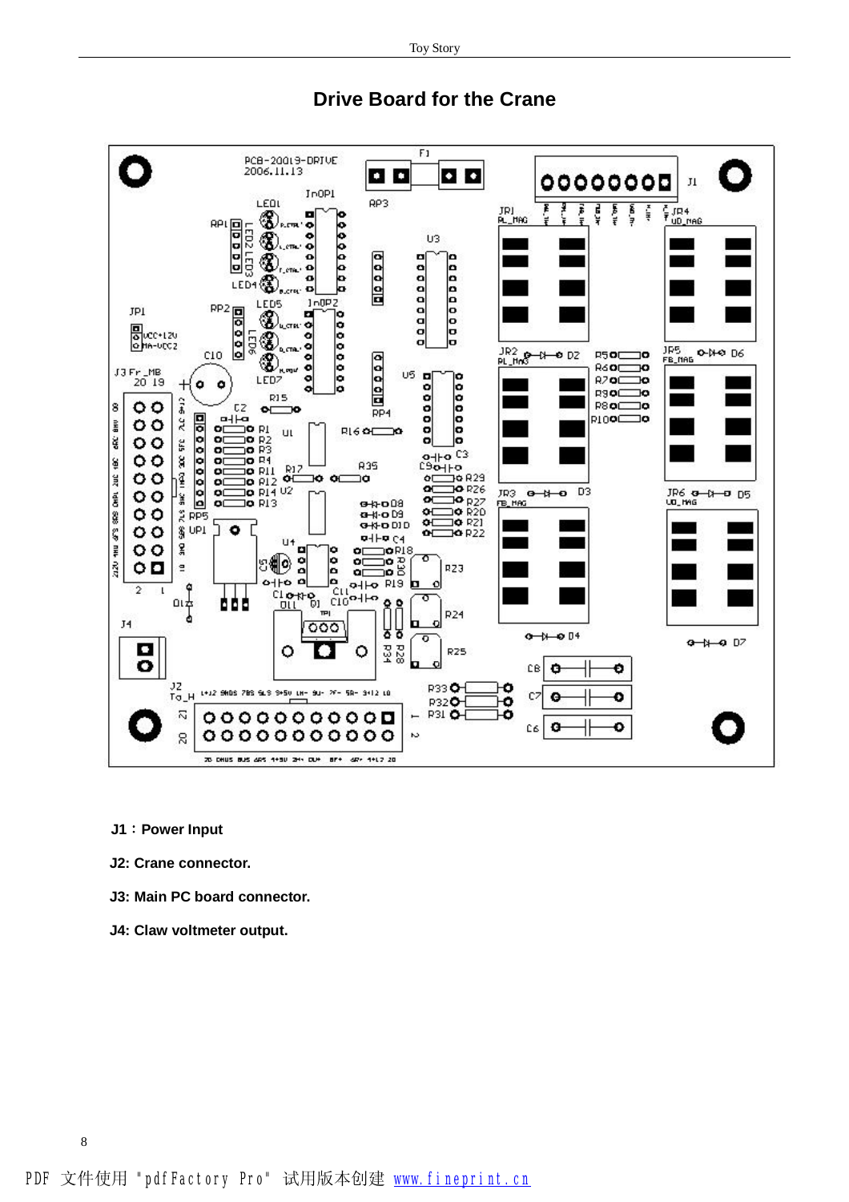

## **Drive Board for the Crane**

- **J1:Power Input**
- **J2: Crane connector.**
- **J3: Main PC board connector.**
- **J4: Claw voltmeter output.**

PDF 文件使用 "pdfFactory Pro" 试用版本创建 [www.fineprint.cn](http://www.fineprint.cn)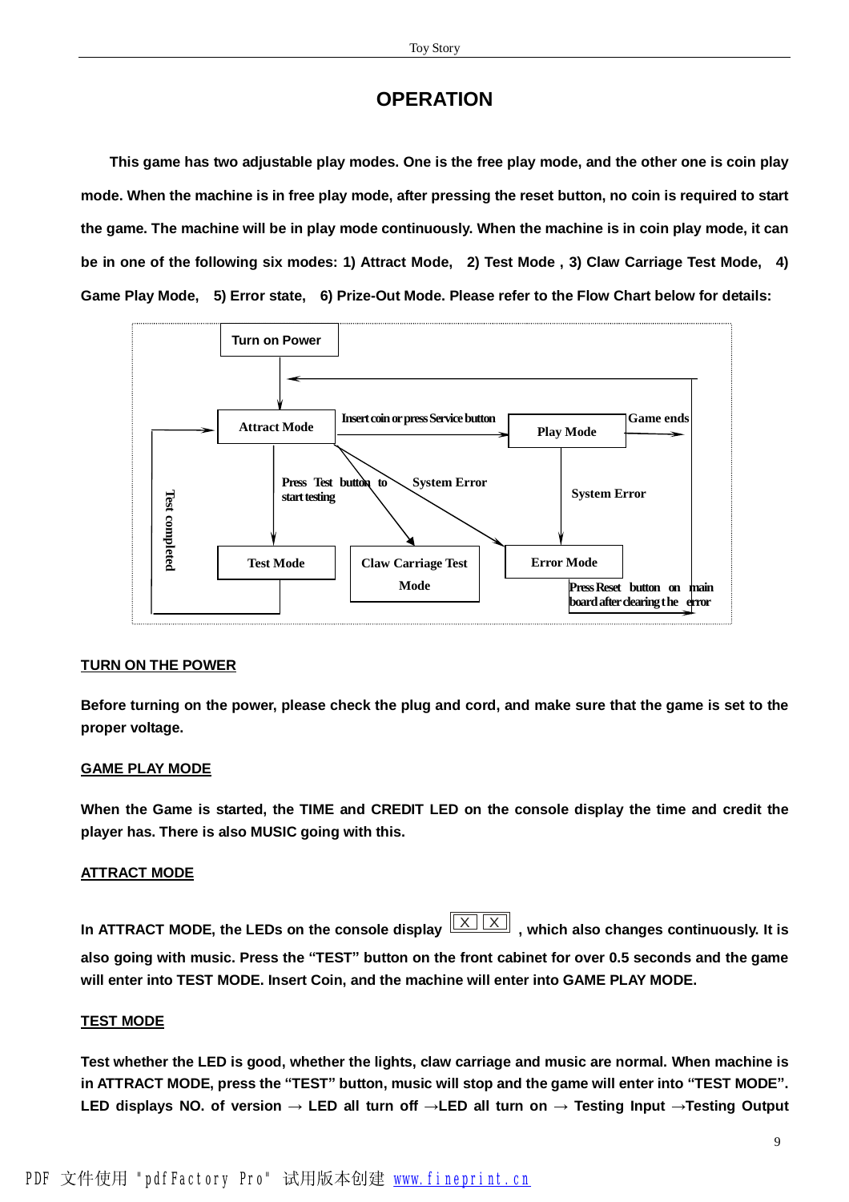# **OPERATION**

**This game has two adjustable play modes. One is the free play mode, and the other one is coin play mode. When the machine is in free play mode, after pressing the reset button, no coin is required to start the game. The machine will be in play mode continuously. When the machine is in coin play mode, it can**  be in one of the following six modes: 1) Attract Mode, 2) Test Mode, 3) Claw Carriage Test Mode, 4) **Game Play Mode, 5) Error state, 6) Prize-Out Mode. Please refer to the Flow Chart below for details:** 



#### **TURN ON THE POWER**

Before turning on the power, please check the plug and cord, and make sure that the game is set to the **proper voltage.** 

#### **GAME PLAY MODE**

When the Game is started, the TIME and CREDIT LED on the console display the time and credit the **player has. There is also MUSIC going with this.** 

#### **ATTRACT MODE**

**In** ATTRACT MODE, the LEDs on the console display  $\boxed{X \mid X}$ , which also changes continuously. It is also going with music. Press the "TEST" button on the front cabinet for over 0.5 seconds and the game **will enter into TEST MODE. Insert Coin, and the machine will enter into GAME PLAY MODE.** 

#### **TEST MODE**

**Test whether the LED is good, whether the lights, claw carriage and music are normal. When machine is**  in ATTRACT MODE, press the "TEST" button, music will stop and the game will enter into "TEST MODE". LED displays NO. of version  $\rightarrow$  LED all turn off  $\rightarrow$ LED all turn on  $\rightarrow$  Testing Input  $\rightarrow$  Testing Output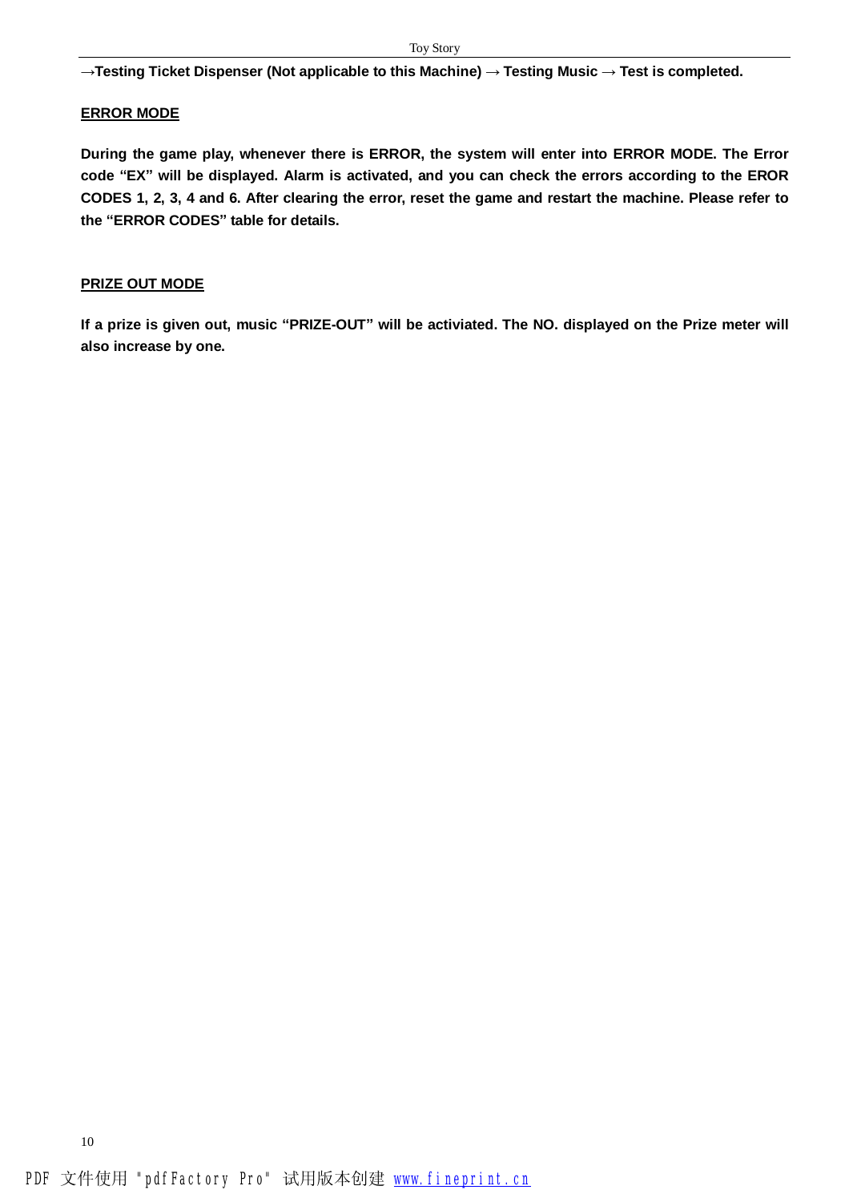**→Testing Ticket Dispenser (Not applicable to this Machine) → Testing Music → Test is completed.** 

#### **ERROR MODE**

**During the game play, whenever there is ERROR, the system will enter into ERROR MODE. The Error**  code "EX" will be displayed. Alarm is activated, and you can check the errors according to the EROR CODES 1, 2, 3, 4 and 6. After clearing the error, reset the game and restart the machine. Please refer to **the "ERROR CODES" table for details.** 

#### **PRIZE OUT MODE**

If a prize is given out, music "PRIZE-OUT" will be activiated. The NO. displayed on the Prize meter will **also increase by one.**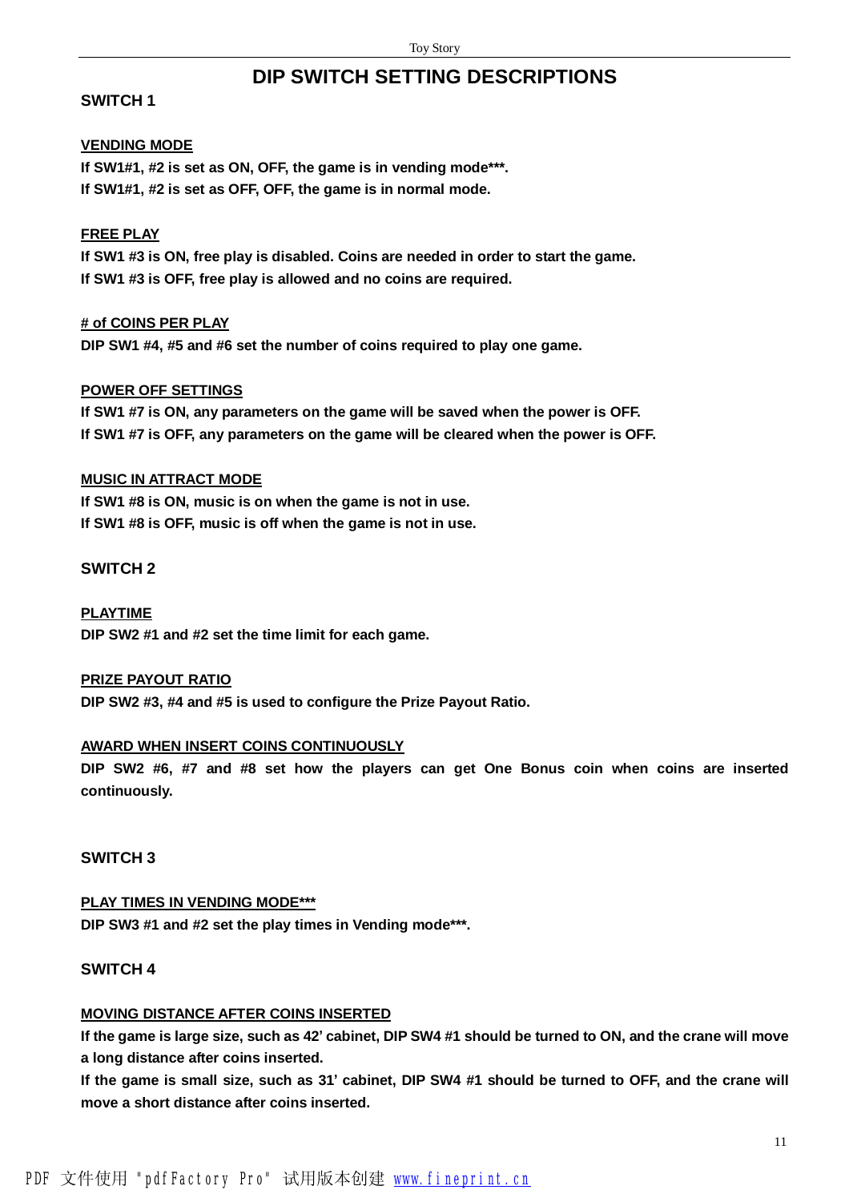# **DIP SWITCH SETTING DESCRIPTIONS**

#### **SWITCH 1**

#### **VENDING MODE**

**If SW1#1, #2 is set as ON, OFF, the game is in vending mode\*\*\*. If SW1#1, #2 is set as OFF, OFF, the game is in normal mode.** 

#### **FREE PLAY**

**If SW1 #3 is ON, free play is disabled. Coins are needed in order to start the game. If SW1 #3 is OFF, free play is allowed and no coins are required.** 

#### **# of COINS PER PLAY**

**DIP SW1 #4, #5 and #6 set the number of coins required to play one game.** 

#### **POWER OFF SETTINGS**

**If SW1 #7 is ON, any parameters on the game will be saved when the power is OFF. If SW1 #7 is OFF, any parameters on the game will be cleared when the power is OFF.** 

#### **MUSIC IN ATTRACT MODE**

**If SW1 #8 is ON, music is on when the game is not in use. If SW1 #8 is OFF, music is off when the game is not in use.** 

#### **SWITCH 2**

**PLAYTIME DIP SW2 #1 and #2 set the time limit for each game.** 

#### **PRIZE PAYOUT RATIO**

**DIP SW2 #3, #4 and #5 is used to configure the Prize Payout Ratio.** 

### **AWARD WHEN INSERT COINS CONTINUOUSLY**

**DIP SW2 #6, #7 and #8 set how the players can get One Bonus coin when coins are inserted continuously.** 

#### **SWITCH 3**

# **PLAY TIMES IN VENDING MODE\*\*\* DIP SW3 #1 and #2 set the play times in Vending mode\*\*\*.**

## **SWITCH 4**

## **MOVING DISTANCE AFTER COINS INSERTED**

If the game is large size, such as 42' cabinet, DIP SW4 #1 should be turned to ON, and the crane will move **a long distance after coins inserted.** 

If the game is small size, such as 31' cabinet, DIP SW4 #1 should be turned to OFF, and the crane will **move a short distance after coins inserted.**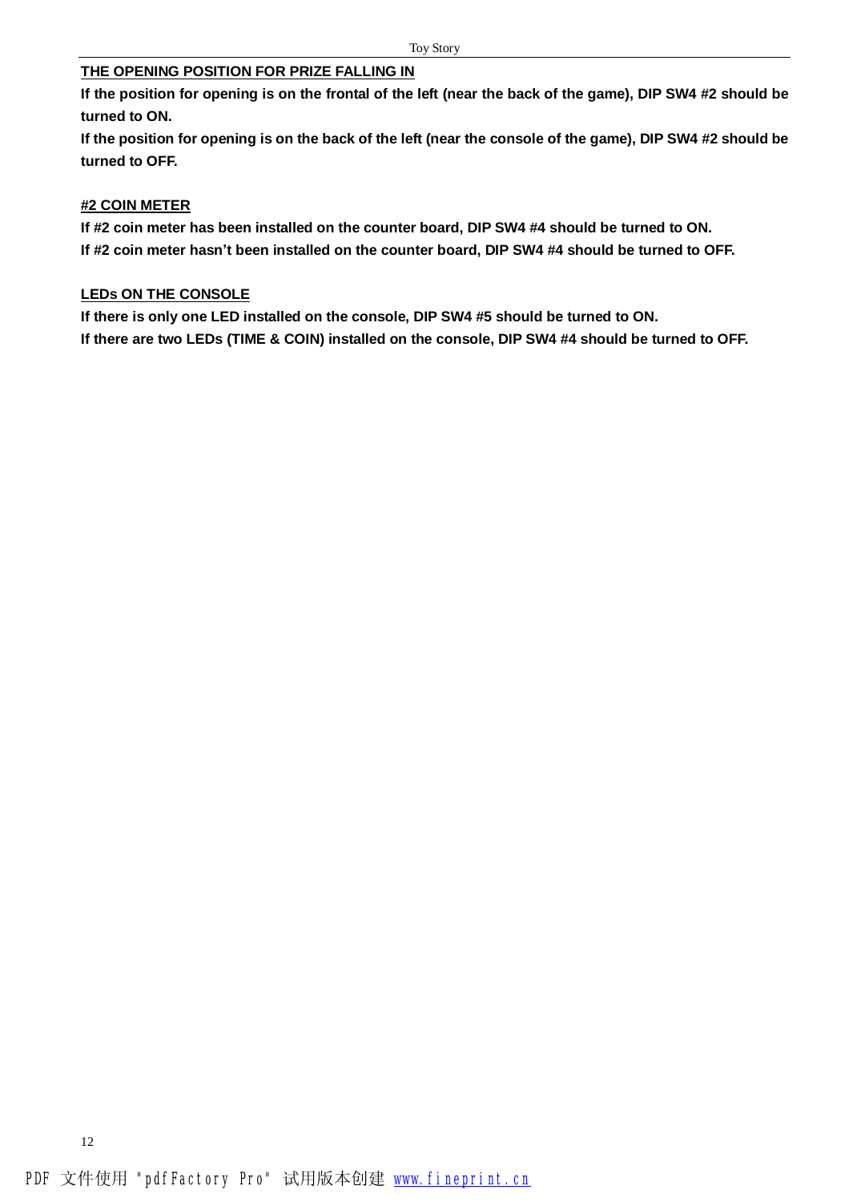#### **THE OPENING POSITION FOR PRIZE FALLING IN**

**If the position for opening is on the frontal of the left (near the back of the game), DIP SW4 #2 should be turned to ON.** 

If the position for opening is on the back of the left (near the console of the game), DIP SW4 #2 should be **turned to OFF.** 

#### **#2 COIN METER**

**If #2 coin meter has been installed on the counter board, DIP SW4 #4 should be turned to ON. If #2 coin meter hasn't been installed on the counter board, DIP SW4 #4 should be turned to OFF.** 

#### **LEDs ON THE CONSOLE**

**If there is only one LED installed on the console, DIP SW4 #5 should be turned to ON. If there are two LEDs (TIME & COIN) installed on the console, DIP SW4 #4 should be turned to OFF.**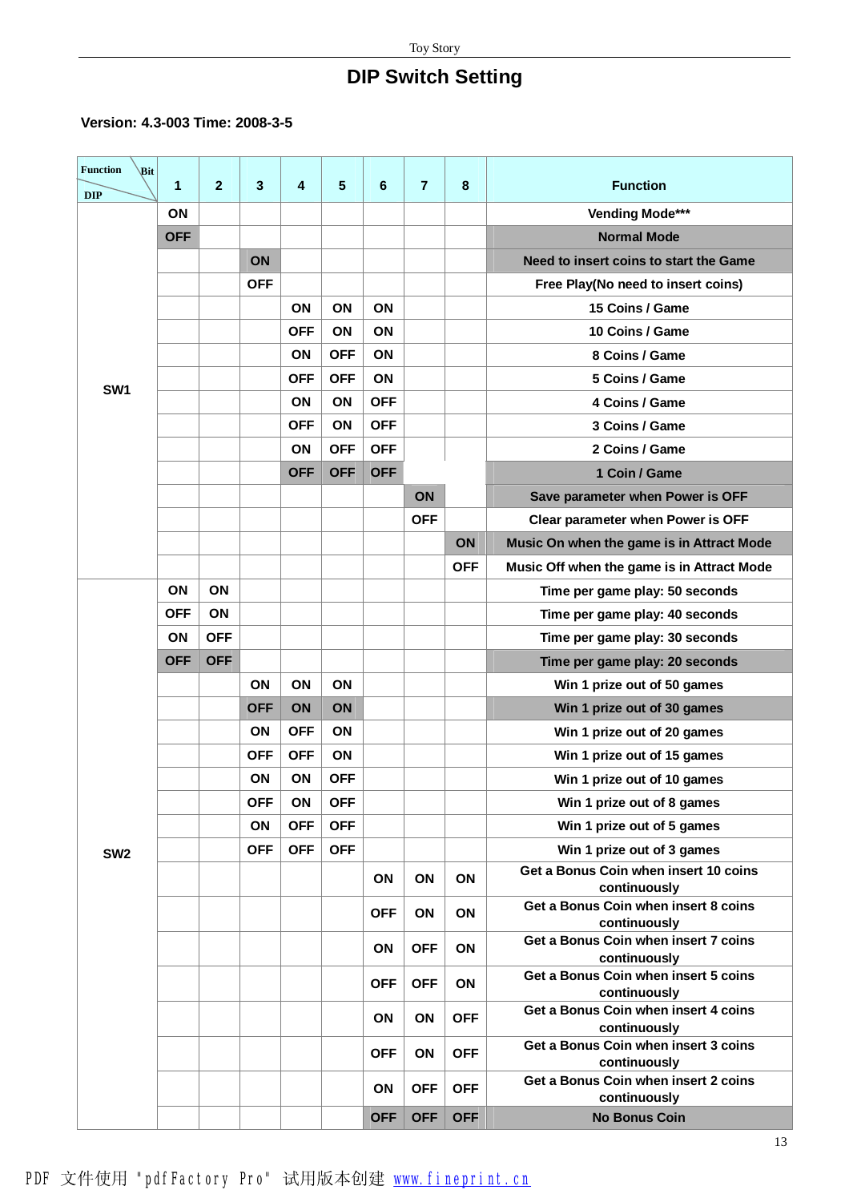# **DIP Switch Setting**

### **Version: 4.3-003 Time: 2008-3-5**

| <b>Function</b><br>Bit | $\mathbf 1$ | $\overline{2}$ | 3          | 4          | 5          | 6          | $\overline{7}$ | 8          | <b>Function</b>                                      |
|------------------------|-------------|----------------|------------|------------|------------|------------|----------------|------------|------------------------------------------------------|
| <b>DIP</b>             |             |                |            |            |            |            |                |            |                                                      |
|                        | ON          |                |            |            |            |            |                |            | Vending Mode***                                      |
|                        | <b>OFF</b>  |                |            |            |            |            |                |            | <b>Normal Mode</b>                                   |
|                        |             |                | ON         |            |            |            |                |            | Need to insert coins to start the Game               |
|                        |             |                | <b>OFF</b> |            |            |            |                |            | Free Play(No need to insert coins)                   |
|                        |             |                |            | ON         | ON         | ON         |                |            | 15 Coins / Game                                      |
|                        |             |                |            | <b>OFF</b> | ON         | ON         |                |            | 10 Coins / Game                                      |
|                        |             |                |            | ON         | <b>OFF</b> | ON         |                |            | 8 Coins / Game                                       |
| SW <sub>1</sub>        |             |                |            | <b>OFF</b> | <b>OFF</b> | <b>ON</b>  |                |            | 5 Coins / Game                                       |
|                        |             |                |            | ON         | ON         | <b>OFF</b> |                |            | 4 Coins / Game                                       |
|                        |             |                |            | <b>OFF</b> | ON         | <b>OFF</b> |                |            | 3 Coins / Game                                       |
|                        |             |                |            | ON         | <b>OFF</b> | <b>OFF</b> |                |            | 2 Coins / Game                                       |
|                        |             |                |            | <b>OFF</b> | <b>OFF</b> | <b>OFF</b> |                |            | 1 Coin / Game                                        |
|                        |             |                |            |            |            |            | ON             |            | Save parameter when Power is OFF                     |
|                        |             |                |            |            |            |            | <b>OFF</b>     |            | Clear parameter when Power is OFF                    |
|                        |             |                |            |            |            |            |                | ON         | Music On when the game is in Attract Mode            |
|                        |             |                |            |            |            |            |                | <b>OFF</b> | Music Off when the game is in Attract Mode           |
|                        | ON          | ON             |            |            |            |            |                |            | Time per game play: 50 seconds                       |
|                        | <b>OFF</b>  | ON             |            |            |            |            |                |            | Time per game play: 40 seconds                       |
|                        | ON          | <b>OFF</b>     |            |            |            |            |                |            | Time per game play: 30 seconds                       |
|                        | <b>OFF</b>  | <b>OFF</b>     |            |            |            |            |                |            | Time per game play: 20 seconds                       |
|                        |             |                | ON         | ON         | ON         |            |                |            | Win 1 prize out of 50 games                          |
|                        |             |                | <b>OFF</b> | ON         | ON         |            |                |            | Win 1 prize out of 30 games                          |
|                        |             |                | ON         | <b>OFF</b> | ON         |            |                |            | Win 1 prize out of 20 games                          |
|                        |             |                | <b>OFF</b> | <b>OFF</b> | ON         |            |                |            | Win 1 prize out of 15 games                          |
|                        |             |                | ON         | ON         | <b>OFF</b> |            |                |            | Win 1 prize out of 10 games                          |
|                        |             |                | <b>OFF</b> | ON         | <b>OFF</b> |            |                |            | Win 1 prize out of 8 games                           |
|                        |             |                | ON         | <b>OFF</b> | <b>OFF</b> |            |                |            | Win 1 prize out of 5 games                           |
| SW <sub>2</sub>        |             |                | <b>OFF</b> | <b>OFF</b> | <b>OFF</b> |            |                |            | Win 1 prize out of 3 games                           |
|                        |             |                |            |            |            | ON         | ON             | ON         | Get a Bonus Coin when insert 10 coins                |
|                        |             |                |            |            |            |            |                |            | continuously                                         |
|                        |             |                |            |            |            | <b>OFF</b> | ON             | ON         | Get a Bonus Coin when insert 8 coins<br>continuously |
|                        |             |                |            |            |            | ON         | <b>OFF</b>     | ON         | Get a Bonus Coin when insert 7 coins<br>continuously |
|                        |             |                |            |            |            | <b>OFF</b> | <b>OFF</b>     | ON         | Get a Bonus Coin when insert 5 coins<br>continuously |
|                        |             |                |            |            |            |            |                |            | Get a Bonus Coin when insert 4 coins                 |
|                        |             |                |            |            |            | ON         | ON             | <b>OFF</b> | continuously                                         |
|                        |             |                |            |            |            | <b>OFF</b> | ON             | <b>OFF</b> | Get a Bonus Coin when insert 3 coins<br>continuously |
|                        |             |                |            |            |            | <b>ON</b>  | <b>OFF</b>     | <b>OFF</b> | Get a Bonus Coin when insert 2 coins                 |
|                        |             |                |            |            |            |            |                |            | continuously                                         |
|                        |             |                |            |            |            | <b>OFF</b> | <b>OFF</b>     | <b>OFF</b> | <b>No Bonus Coin</b>                                 |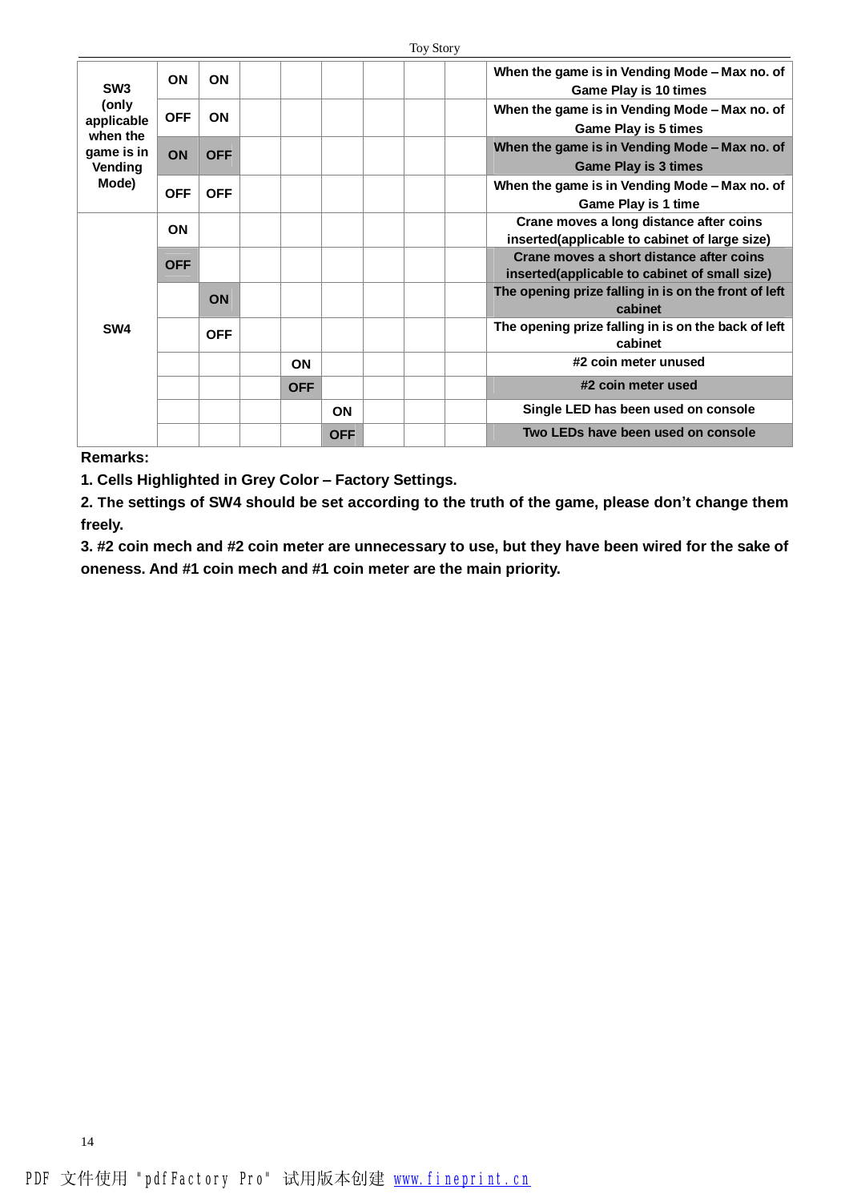| SW <sub>3</sub>                                                   | <b>ON</b>  | <b>ON</b>  |            |            |  | When the game is in Vending Mode - Max no. of<br>Game Play is 10 times                    |
|-------------------------------------------------------------------|------------|------------|------------|------------|--|-------------------------------------------------------------------------------------------|
| (only<br>applicable<br>when the<br>game is in<br>Vending<br>Mode) | <b>OFF</b> | <b>ON</b>  |            |            |  | When the game is in Vending Mode - Max no. of<br><b>Game Play is 5 times</b>              |
|                                                                   | ON         | <b>OFF</b> |            |            |  | When the game is in Vending Mode - Max no. of<br><b>Game Play is 3 times</b>              |
|                                                                   | <b>OFF</b> | <b>OFF</b> |            |            |  | When the game is in Vending Mode - Max no. of<br><b>Game Play is 1 time</b>               |
|                                                                   | <b>ON</b>  |            |            |            |  | Crane moves a long distance after coins<br>inserted(applicable to cabinet of large size)  |
| SW4                                                               | <b>OFF</b> |            |            |            |  | Crane moves a short distance after coins<br>inserted(applicable to cabinet of small size) |
|                                                                   |            | <b>ON</b>  |            |            |  | The opening prize falling in is on the front of left<br>cabinet                           |
|                                                                   |            | <b>OFF</b> |            |            |  | The opening prize falling in is on the back of left<br>cabinet                            |
|                                                                   |            |            | ON         |            |  | #2 coin meter unused                                                                      |
|                                                                   |            |            | <b>OFF</b> |            |  | #2 coin meter used                                                                        |
|                                                                   |            |            |            | <b>ON</b>  |  | Single LED has been used on console                                                       |
|                                                                   |            |            |            | <b>OFF</b> |  | Two LEDs have been used on console                                                        |

**Remarks:** 

14

**1. Cells Highlighted in Grey Color – Factory Settings.** 

2. The settings of SW4 should be set according to the truth of the game, please don't change them **freely.** 

3. #2 coin mech and #2 coin meter are unnecessary to use, but they have been wired for the sake of **oneness. And #1 coin mech and #1 coin meter are the main priority.**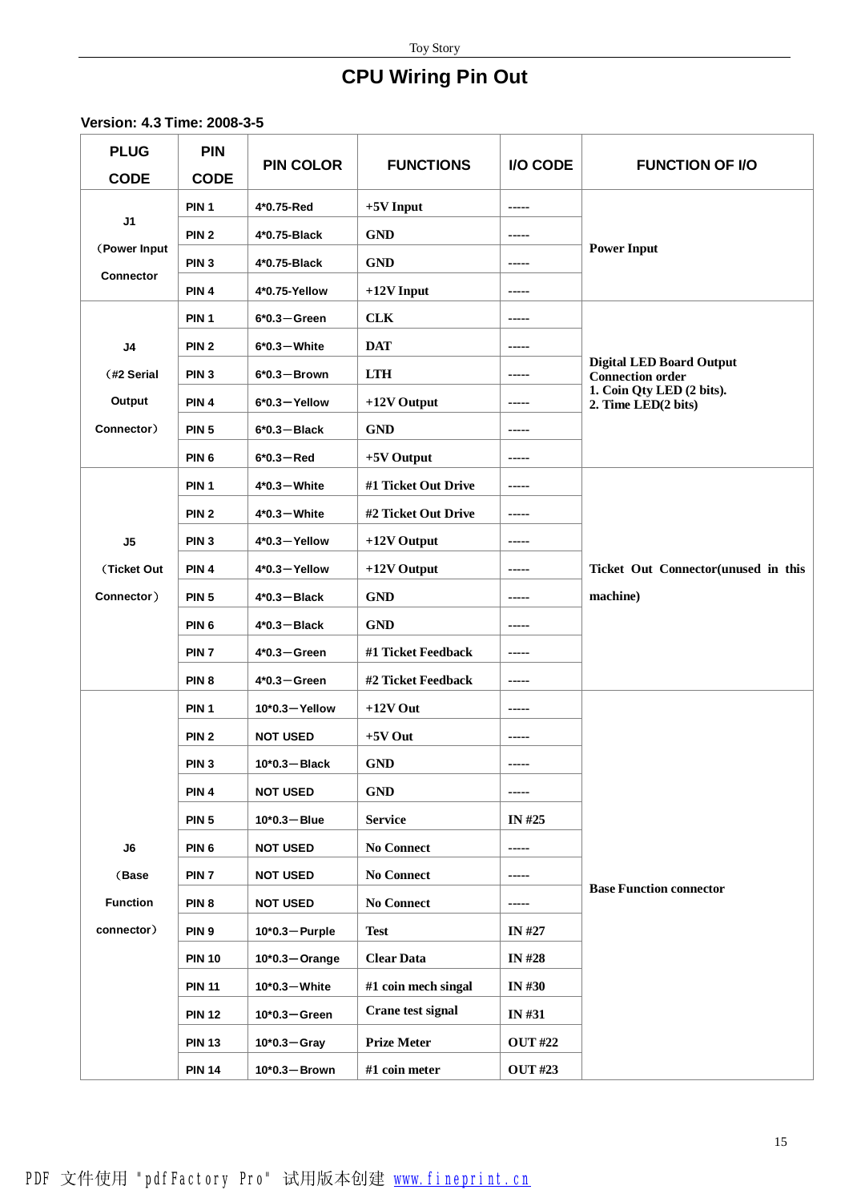# **CPU Wiring Pin Out**

**Version: 4.3 Time: 2008-3-5** 

| <b>PLUG</b><br><b>CODE</b> | <b>PIN</b><br><b>CODE</b> | <b>PIN COLOR</b>  | <b>FUNCTIONS</b>    | I/O CODE       | <b>FUNCTION OF I/O</b>                                     |
|----------------------------|---------------------------|-------------------|---------------------|----------------|------------------------------------------------------------|
|                            | PIN <sub>1</sub>          | 4*0.75-Red        | $+5V$ Input         | -----          |                                                            |
| J1                         | PIN <sub>2</sub>          | 4*0.75-Black      | <b>GND</b>          | -----          |                                                            |
| (Power Input               | PIN <sub>3</sub>          | 4*0.75-Black      | <b>GND</b>          | -----          | <b>Power Input</b>                                         |
| <b>Connector</b>           | PIN <sub>4</sub>          | 4*0.75-Yellow     | $+12V$ Input        | -----          |                                                            |
|                            | PIN <sub>1</sub>          | $6*0.3 - Green$   | <b>CLK</b>          | -----          |                                                            |
| J <sub>4</sub>             | PIN <sub>2</sub>          | $6*0.3$ – White   | <b>DAT</b>          | -----          |                                                            |
| (#2 Serial                 | PIN <sub>3</sub>          | $6*0.3 -$ Brown   | <b>LTH</b>          | -----          | <b>Digital LED Board Output</b><br><b>Connection order</b> |
| Output                     | PIN <sub>4</sub>          | $6*0.3 - Y$ ellow | +12V Output         | -----          | 1. Coin Qty LED (2 bits).<br>2. Time LED(2 bits)           |
| Connector)                 | <b>PIN 5</b>              | $6*0.3 - Black$   | <b>GND</b>          | -----          |                                                            |
|                            | PIN <sub>6</sub>          | $6*0.3 - Red$     | $+5V$ Output        | -----          |                                                            |
|                            | PIN <sub>1</sub>          | $4*0.3$ – White   | #1 Ticket Out Drive | -----          |                                                            |
|                            | PIN <sub>2</sub>          | $4*0.3$ – White   | #2 Ticket Out Drive | -----          |                                                            |
| J5                         | PIN <sub>3</sub>          | $4*0.3 - Y$ ellow | +12V Output         | -----          |                                                            |
| (Ticket Out                | PIN <sub>4</sub>          | 4*0.3-Yellow      | $+12V$ Output       | -----          | Ticket Out Connector(unused in this                        |
| Connector)                 | <b>PIN 5</b>              | $4*0.3 - Black$   | <b>GND</b>          | -----          | machine)                                                   |
|                            | PIN <sub>6</sub>          | $4*0.3 - Black$   | <b>GND</b>          | -----          |                                                            |
|                            | PIN <sub>7</sub>          | $4*0.3 - Green$   | #1 Ticket Feedback  | -----          |                                                            |
|                            | PIN <sub>8</sub>          | $4*0.3 - Green$   | #2 Ticket Feedback  | -----          |                                                            |
|                            | PIN <sub>1</sub>          | 10*0.3-Yellow     | $+12V$ Out          | -----          |                                                            |
|                            | PIN <sub>2</sub>          | <b>NOT USED</b>   | $+5V$ Out           | -----          |                                                            |
|                            | PIN <sub>3</sub>          | $10^*0.3 - Black$ | <b>GND</b>          | -----          |                                                            |
|                            | PIN <sub>4</sub>          | <b>NOT USED</b>   | <b>GND</b>          | -----          |                                                            |
|                            | PIN <sub>5</sub>          | $10*0.3 - Blue$   | <b>Service</b>      | IN #25         |                                                            |
| J6                         | PIN <sub>6</sub>          | <b>NOT USED</b>   | <b>No Connect</b>   | -----          |                                                            |
| (Base                      | PIN <sub>7</sub>          | <b>NOT USED</b>   | <b>No Connect</b>   | -----          | <b>Base Function connector</b>                             |
| <b>Function</b>            | PIN <sub>8</sub>          | <b>NOT USED</b>   | <b>No Connect</b>   | -----          |                                                            |
| connector)                 | PIN <sub>9</sub>          | $10*0.3 -$ Purple | <b>Test</b>         | IN #27         |                                                            |
|                            | <b>PIN 10</b>             | $10*0.3$ - Orange | <b>Clear Data</b>   | <b>IN#28</b>   |                                                            |
|                            | <b>PIN 11</b>             | $10*0.3$ – White  | #1 coin mech singal | <b>IN#30</b>   |                                                            |
|                            | <b>PIN 12</b>             | $10*0.3 - Green$  | Crane test signal   | <b>IN#31</b>   |                                                            |
|                            | <b>PIN 13</b>             | $10*0.3 - Gray$   | <b>Prize Meter</b>  | <b>OUT #22</b> |                                                            |
|                            | <b>PIN 14</b>             | $10*0.3 -$ Brown  | #1 coin meter       | <b>OUT #23</b> |                                                            |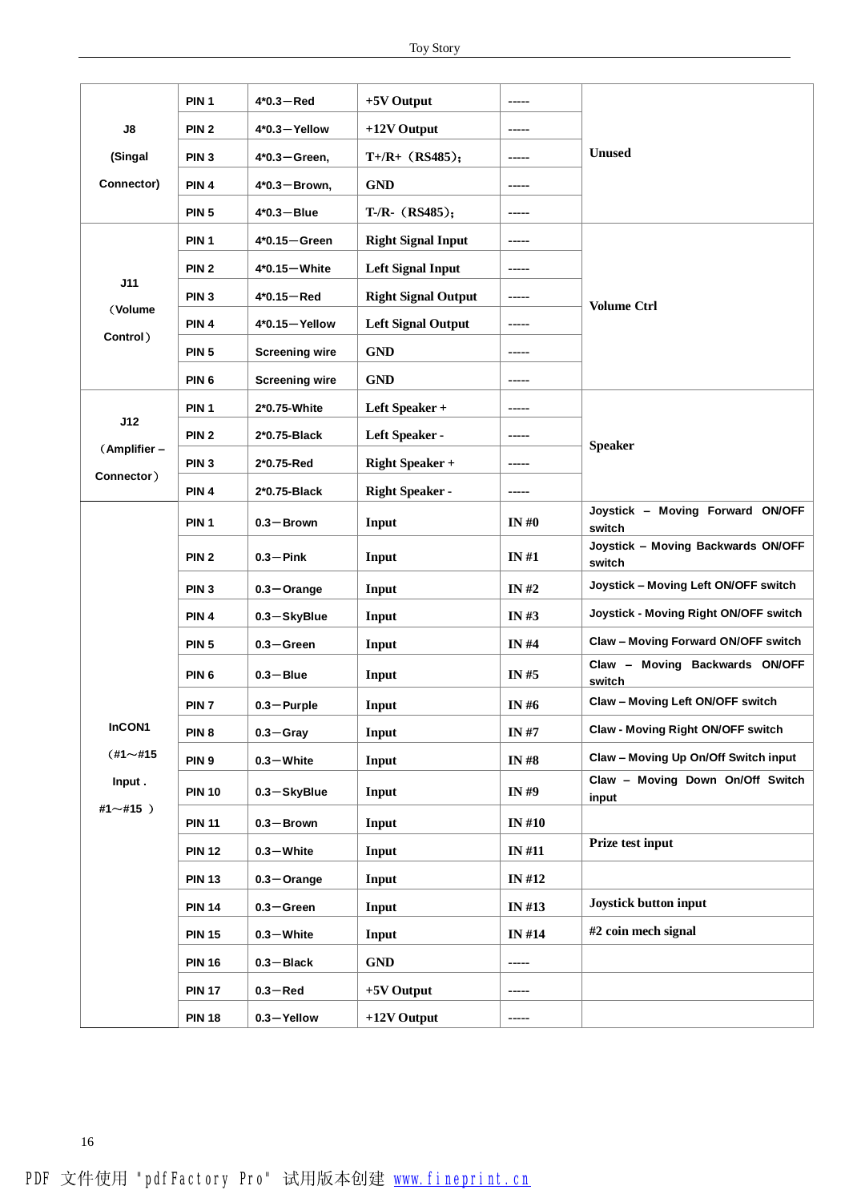|                 | PIN <sub>1</sub> | $4*0.3 - Red$         | $+5V$ Output               | -----        |                                              |
|-----------------|------------------|-----------------------|----------------------------|--------------|----------------------------------------------|
| $\mathsf{J}8$   | PIN <sub>2</sub> | $4*0.3 - Y$ ellow     | $+12V$ Output              | -----        |                                              |
| (Singal         | PIN <sub>3</sub> | $4*0.3 - Green$ ,     | $T+ / R+ (RS485);$         | -----        | <b>Unused</b>                                |
| Connector)      | PIN <sub>4</sub> | $4*0.3 - Brown,$      | <b>GND</b>                 | -----        |                                              |
|                 | <b>PIN 5</b>     | $4*0.3 - Blue$        | $T-R-$ (RS485);            | -----        |                                              |
|                 | PIN <sub>1</sub> | $4*0.15 - Green$      | <b>Right Signal Input</b>  | -----        |                                              |
|                 | PIN <sub>2</sub> | $4*0.15 - White$      | <b>Left Signal Input</b>   | -----        |                                              |
| J11             | PIN <sub>3</sub> | $4*0.15 - Red$        | <b>Right Signal Output</b> | -----        |                                              |
| (Volume         | PIN <sub>4</sub> | $4*0.15 -$ Yellow     | <b>Left Signal Output</b>  | -----        | <b>Volume Ctrl</b>                           |
| Control)        | <b>PIN 5</b>     | <b>Screening wire</b> | <b>GND</b>                 | -----        |                                              |
|                 | PIN <sub>6</sub> | <b>Screening wire</b> | <b>GND</b>                 | -----        |                                              |
|                 | PIN <sub>1</sub> | 2*0.75-White          | Left Speaker +             | -----        |                                              |
| J12             | PIN <sub>2</sub> | 2*0.75-Black          | Left Speaker -             | -----        |                                              |
| (Amplifier -    | PIN <sub>3</sub> | 2*0.75-Red            | <b>Right Speaker +</b>     | -----        | <b>Speaker</b>                               |
| Connector)      | PIN <sub>4</sub> | 2*0.75-Black          | <b>Right Speaker -</b>     | -----        |                                              |
|                 | PIN <sub>1</sub> | $0.3 -$ Brown         | Input                      | IN# $\theta$ | Joystick - Moving Forward ON/OFF             |
|                 |                  |                       |                            |              | switch<br>Joystick - Moving Backwards ON/OFF |
|                 | PIN <sub>2</sub> | $0.3 - Pink$          | Input                      | IN #1        | switch                                       |
|                 | PIN <sub>3</sub> | $0.3 -$ Orange        | Input                      | IN $#2$      | Joystick - Moving Left ON/OFF switch         |
|                 | PIN <sub>4</sub> | 0.3-SkyBlue           | Input                      | IN#3         | Joystick - Moving Right ON/OFF switch        |
|                 | <b>PIN 5</b>     | $0.3 -$ Green         | Input                      | IN $#4$      | Claw - Moving Forward ON/OFF switch          |
|                 | PIN <sub>6</sub> | $0.3 - B$ lue         | Input                      | IN #5        | Claw - Moving Backwards ON/OFF<br>switch     |
|                 | PIN <sub>7</sub> | $0.3 -$ Purple        | Input                      | IN #6        | Claw - Moving Left ON/OFF switch             |
| InCON1          | PIN <sub>8</sub> | $0.3 -$ Gray          | Input                      | <b>IN#7</b>  | <b>Claw - Moving Right ON/OFF switch</b>     |
| $(+1 \sim #15)$ | PIN <sub>9</sub> | $0.3 -$ White         | Input                      | <b>IN#8</b>  | Claw - Moving Up On/Off Switch input         |
| Input.          | <b>PIN 10</b>    | $0.3 -$ SkyBlue       | Input                      | IN #9        | Claw - Moving Down On/Off Switch<br>input    |
| #1 $\sim$ #15 ) | <b>PIN 11</b>    | $0.3 -$ Brown         | Input                      | <b>IN#10</b> |                                              |
|                 | <b>PIN 12</b>    | $0.3 -$ White         | Input                      | <b>IN#11</b> | Prize test input                             |
|                 | <b>PIN 13</b>    | $0.3 -$ Orange        | Input                      | IN #12       |                                              |
|                 | <b>PIN 14</b>    | $0.3 - Green$         | Input                      | IN #13       | Joystick button input                        |
|                 | <b>PIN 15</b>    | $0.3 -$ White         | Input                      | <b>IN#14</b> | #2 coin mech signal                          |
|                 | <b>PIN 16</b>    | $0.3 - Black$         | <b>GND</b>                 | -----        |                                              |
|                 | <b>PIN 17</b>    | $0.3 - Red$           | $+5V$ Output               | -----        |                                              |
|                 | <b>PIN 18</b>    | $0.3 -$ Yellow        | $+12V$ Output              | -----        |                                              |
|                 |                  |                       |                            |              |                                              |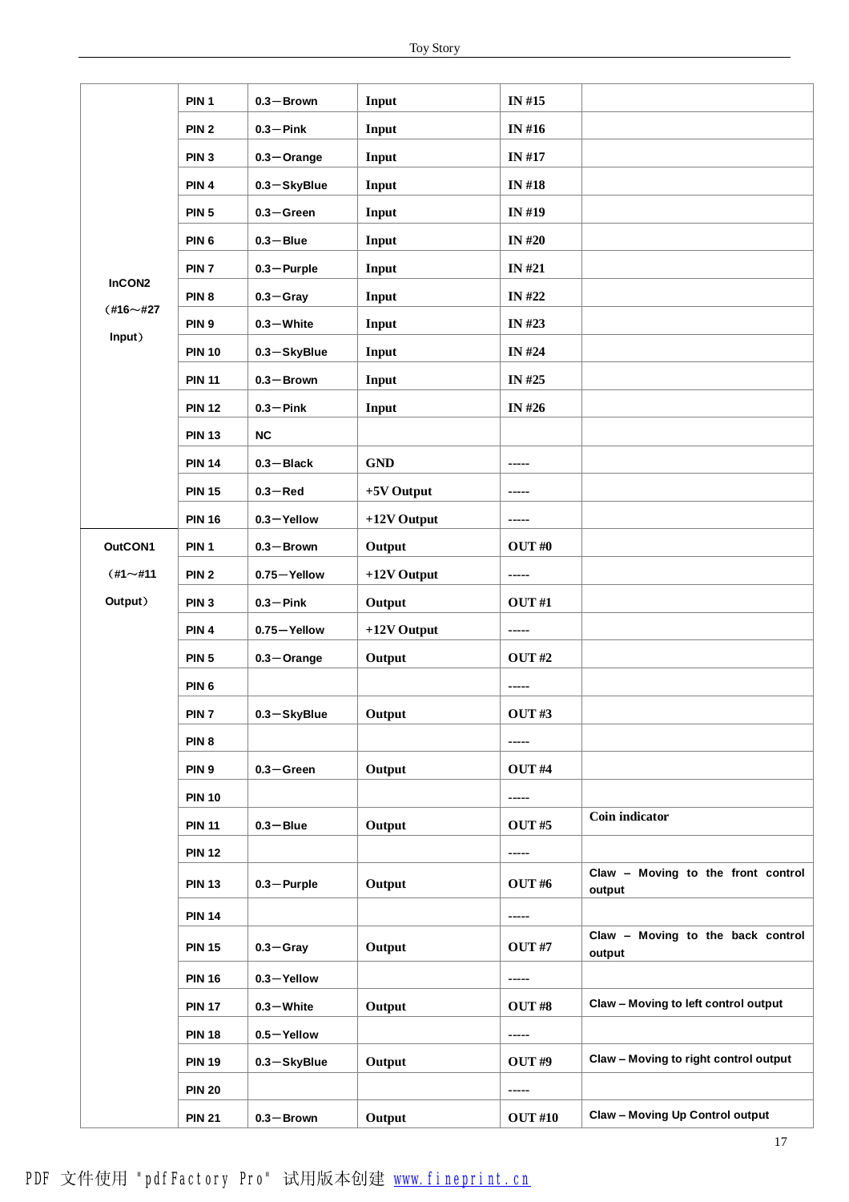|                 | PIN <sub>1</sub> | $0.3 -$ Brown   | Input         | IN #15         |                                              |
|-----------------|------------------|-----------------|---------------|----------------|----------------------------------------------|
|                 | PIN <sub>2</sub> | $0.3 - Pink$    | Input         | <b>IN#16</b>   |                                              |
|                 | PIN <sub>3</sub> | $0.3 -$ Orange  | Input         | <b>IN #17</b>  |                                              |
|                 | PIN <sub>4</sub> | $0.3 -$ SkyBlue | Input         | <b>IN#18</b>   |                                              |
|                 | PIN <sub>5</sub> | $0.3 -$ Green   | Input         | IN #19         |                                              |
|                 | PIN <sub>6</sub> | $0.3 - B$ lue   | Input         | <b>IN #20</b>  |                                              |
|                 | PIN <sub>7</sub> | $0.3 -$ Purple  | Input         | IN #21         |                                              |
| InCON2          | PIN <sub>8</sub> | $0.3 -$ Gray    | Input         | IN #22         |                                              |
| $(416 - 427)$   | PIN <sub>9</sub> | $0.3 -$ White   | Input         | IN #23         |                                              |
| Input)          | <b>PIN 10</b>    | $0.3 -$ SkyBlue | Input         | <b>IN #24</b>  |                                              |
|                 | <b>PIN 11</b>    | $0.3 -$ Brown   | Input         | IN #25         |                                              |
|                 | <b>PIN 12</b>    | $0.3 - Pink$    | Input         | IN #26         |                                              |
|                 | <b>PIN 13</b>    | <b>NC</b>       |               |                |                                              |
|                 | <b>PIN 14</b>    | $0.3 - Black$   | <b>GND</b>    | -----          |                                              |
|                 | <b>PIN 15</b>    | $0.3 - Red$     | $+5V$ Output  | -----          |                                              |
|                 | <b>PIN 16</b>    | $0.3 -$ Yellow  | $+12V$ Output | -----          |                                              |
| OutCON1         | PIN <sub>1</sub> | $0.3 -$ Brown   | Output        | OUT#0          |                                              |
| $(#1 \sim #11)$ | PIN <sub>2</sub> | 0.75-Yellow     | $+12V$ Output | -----          |                                              |
| Output)         | PIN <sub>3</sub> | $0.3 - Pink$    | Output        | OUT#1          |                                              |
|                 | PIN <sub>4</sub> | 0.75-Yellow     | $+12V$ Output | -----          |                                              |
|                 | PIN <sub>5</sub> | $0.3 -$ Orange  | Output        | <b>OUT #2</b>  |                                              |
|                 | PIN <sub>6</sub> |                 |               | -----          |                                              |
|                 | PIN <sub>7</sub> | $0.3 -$ SkyBlue | Output        | OUT#3          |                                              |
|                 | PIN <sub>8</sub> |                 |               | -----          |                                              |
|                 | PIN <sub>9</sub> | $0.3 -$ Green   | Output        | OUT#4          |                                              |
|                 | <b>PIN 10</b>    |                 |               | -----          |                                              |
|                 | <b>PIN 11</b>    | $0.3 - B$ lue   | Output        | <b>OUT #5</b>  | Coin indicator                               |
|                 | <b>PIN 12</b>    |                 |               | -----          |                                              |
|                 | <b>PIN 13</b>    | $0.3 -$ Purple  | Output        | <b>OUT#6</b>   | Claw - Moving to the front control<br>output |
|                 | <b>PIN 14</b>    |                 |               | -----          |                                              |
|                 | <b>PIN 15</b>    | $0.3 -$ Gray    | Output        | <b>OUT #7</b>  | Claw - Moving to the back control<br>output  |
|                 | <b>PIN 16</b>    | $0.3 -$ Yellow  |               | -----          |                                              |
|                 | <b>PIN 17</b>    | $0.3 - White$   | Output        | OUT#8          | Claw - Moving to left control output         |
|                 | <b>PIN 18</b>    | $0.5 -$ Yellow  |               | -----          |                                              |
|                 | <b>PIN 19</b>    | 0.3-SkyBlue     | Output        | OUT#9          | Claw - Moving to right control output        |
|                 | <b>PIN 20</b>    |                 |               | -----          |                                              |
|                 | <b>PIN 21</b>    | $0.3 -$ Brown   | Output        | <b>OUT #10</b> | Claw - Moving Up Control output              |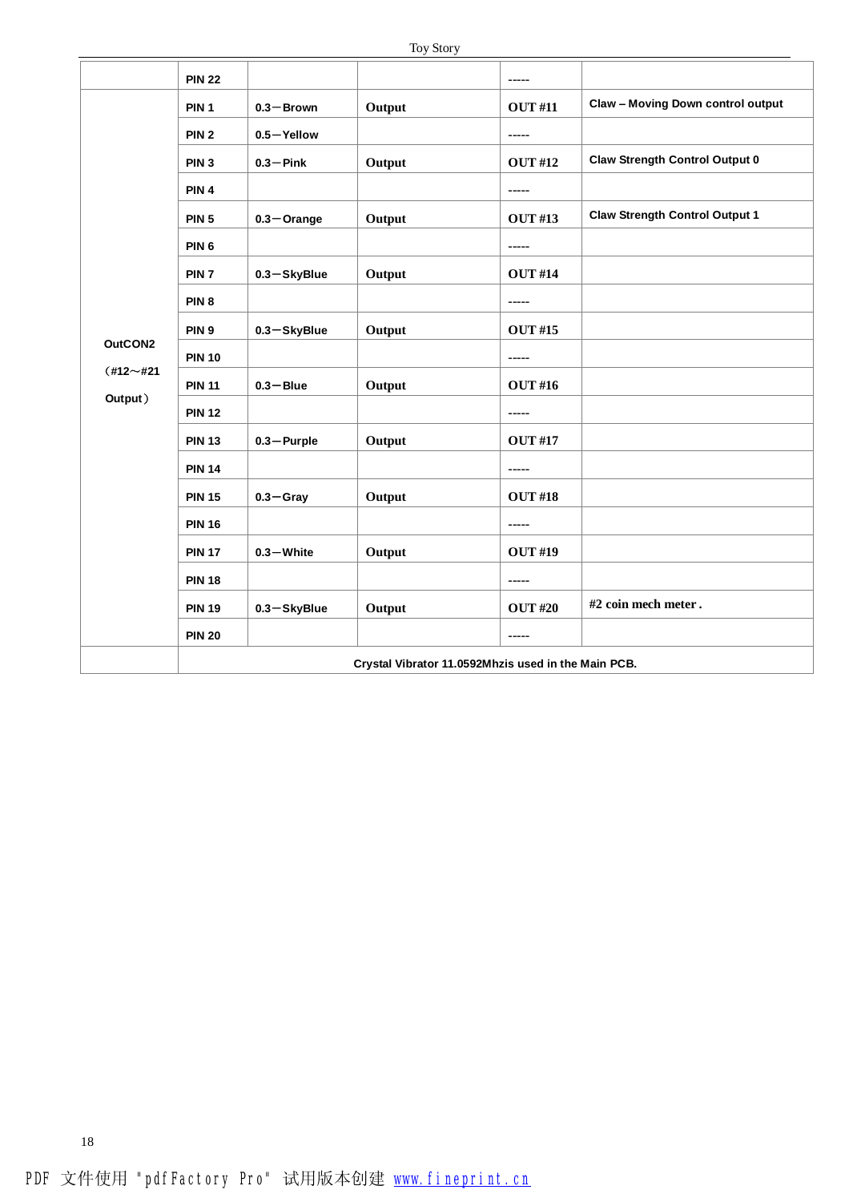|             | <b>PIN 22</b>    |                                                     |        | $- - - - -$    |                                          |  |  |
|-------------|------------------|-----------------------------------------------------|--------|----------------|------------------------------------------|--|--|
|             | PIN <sub>1</sub> | $0.3 -$ Brown                                       | Output | <b>OUT #11</b> | <b>Claw - Moving Down control output</b> |  |  |
|             | PIN <sub>2</sub> | 0.5-Yellow                                          |        | -----          |                                          |  |  |
|             | PIN <sub>3</sub> | $0.3 -$ Pink                                        | Output | <b>OUT #12</b> | <b>Claw Strength Control Output 0</b>    |  |  |
|             | PIN <sub>4</sub> |                                                     |        | -----          |                                          |  |  |
|             | <b>PIN 5</b>     | $0.3 -$ Orange                                      | Output | <b>OUT #13</b> | <b>Claw Strength Control Output 1</b>    |  |  |
|             | PIN <sub>6</sub> |                                                     |        |                |                                          |  |  |
|             | PIN <sub>7</sub> | $0.3 -$ SkyBlue                                     | Output | <b>OUT #14</b> |                                          |  |  |
|             | PIN <sub>8</sub> |                                                     |        |                |                                          |  |  |
|             | PIN <sub>9</sub> | $0.3 -$ SkyBlue                                     | Output | <b>OUT #15</b> |                                          |  |  |
| OutCON2     | <b>PIN 10</b>    |                                                     |        | -----          |                                          |  |  |
| $(#12~+21)$ | <b>PIN 11</b>    | $0.3 - B$ lue                                       | Output | <b>OUT #16</b> |                                          |  |  |
| Output)     | <b>PIN 12</b>    |                                                     |        |                |                                          |  |  |
|             | <b>PIN 13</b>    | $0.3 -$ Purple                                      | Output | <b>OUT #17</b> |                                          |  |  |
|             | <b>PIN 14</b>    |                                                     |        | $- - - - -$    |                                          |  |  |
|             | <b>PIN 15</b>    | $0.3 -$ Gray                                        | Output | <b>OUT #18</b> |                                          |  |  |
|             | <b>PIN 16</b>    |                                                     |        | -----          |                                          |  |  |
|             | <b>PIN 17</b>    | $0.3 -$ White                                       | Output | <b>OUT #19</b> |                                          |  |  |
|             | <b>PIN 18</b>    |                                                     |        | -----          |                                          |  |  |
|             | <b>PIN 19</b>    | 0.3-SkyBlue                                         | Output | <b>OUT #20</b> | #2 coin mech meter.                      |  |  |
|             | <b>PIN 20</b>    |                                                     |        | -----          |                                          |  |  |
|             |                  | Crystal Vibrator 11.0592Mhzis used in the Main PCB. |        |                |                                          |  |  |